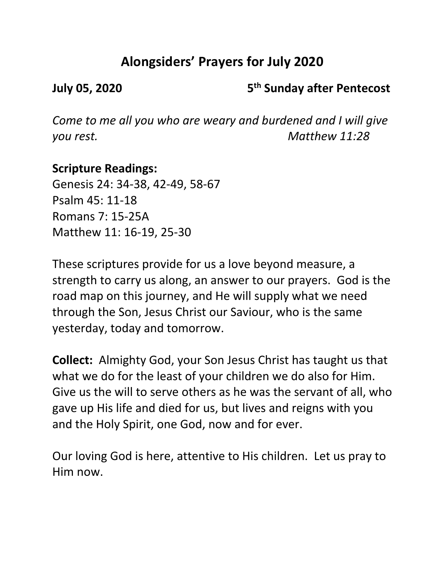# **Alongsiders' Prayers for July 2020**

**July 05, 2020 5th Sunday after Pentecost**

*Come to me all you who are weary and burdened and I will give you rest. Matthew 11:28*

### **Scripture Readings:**

Genesis 24: 34-38, 42-49, 58-67 Psalm 45: 11-18 Romans 7: 15-25A Matthew 11: 16-19, 25-30

These scriptures provide for us a love beyond measure, a strength to carry us along, an answer to our prayers. God is the road map on this journey, and He will supply what we need through the Son, Jesus Christ our Saviour, who is the same yesterday, today and tomorrow.

**Collect:** Almighty God, your Son Jesus Christ has taught us that what we do for the least of your children we do also for Him. Give us the will to serve others as he was the servant of all, who gave up His life and died for us, but lives and reigns with you and the Holy Spirit, one God, now and for ever.

Our loving God is here, attentive to His children. Let us pray to Him now.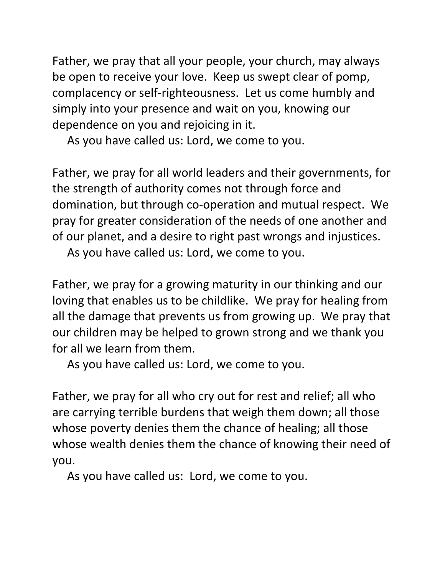Father, we pray that all your people, your church, may always be open to receive your love. Keep us swept clear of pomp, complacency or self-righteousness. Let us come humbly and simply into your presence and wait on you, knowing our dependence on you and rejoicing in it.

As you have called us: Lord, we come to you.

Father, we pray for all world leaders and their governments, for the strength of authority comes not through force and domination, but through co-operation and mutual respect. We pray for greater consideration of the needs of one another and of our planet, and a desire to right past wrongs and injustices.

As you have called us: Lord, we come to you.

Father, we pray for a growing maturity in our thinking and our loving that enables us to be childlike. We pray for healing from all the damage that prevents us from growing up. We pray that our children may be helped to grown strong and we thank you for all we learn from them.

As you have called us: Lord, we come to you.

Father, we pray for all who cry out for rest and relief; all who are carrying terrible burdens that weigh them down; all those whose poverty denies them the chance of healing; all those whose wealth denies them the chance of knowing their need of you.

As you have called us: Lord, we come to you.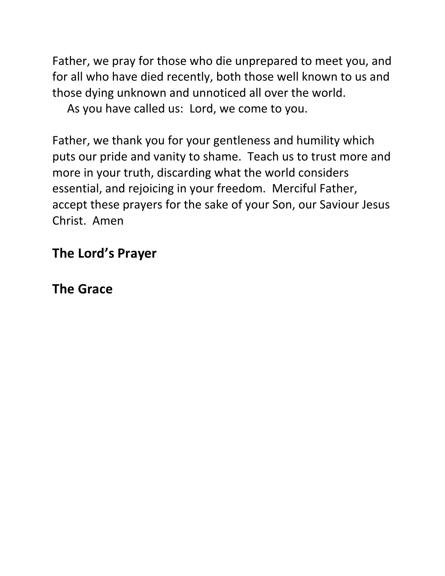Father, we pray for those who die unprepared to meet you, and for all who have died recently, both those well known to us and those dying unknown and unnoticed all over the world.

As you have called us: Lord, we come to you.

Father, we thank you for your gentleness and humility which puts our pride and vanity to shame. Teach us to trust more and more in your truth, discarding what the world considers essential, and rejoicing in your freedom. Merciful Father, accept these prayers for the sake of your Son, our Saviour Jesus Christ. Amen

## **The Lord's Prayer**

**The Grace**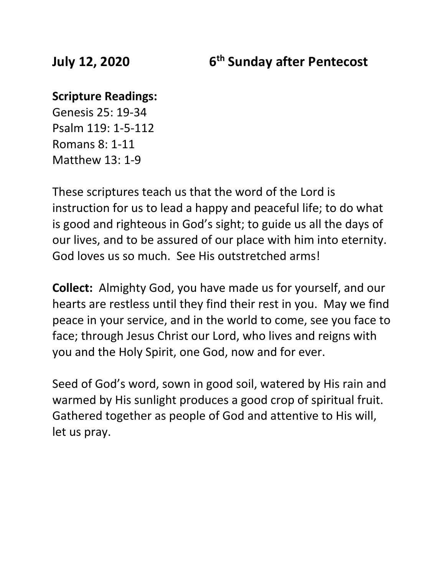#### **Scripture Readings:**

Genesis 25: 19-34 Psalm 119: 1-5-112 Romans 8: 1-11 Matthew 13: 1-9

These scriptures teach us that the word of the Lord is instruction for us to lead a happy and peaceful life; to do what is good and righteous in God's sight; to guide us all the days of our lives, and to be assured of our place with him into eternity. God loves us so much. See His outstretched arms!

**Collect:** Almighty God, you have made us for yourself, and our hearts are restless until they find their rest in you. May we find peace in your service, and in the world to come, see you face to face; through Jesus Christ our Lord, who lives and reigns with you and the Holy Spirit, one God, now and for ever.

Seed of God's word, sown in good soil, watered by His rain and warmed by His sunlight produces a good crop of spiritual fruit. Gathered together as people of God and attentive to His will, let us pray.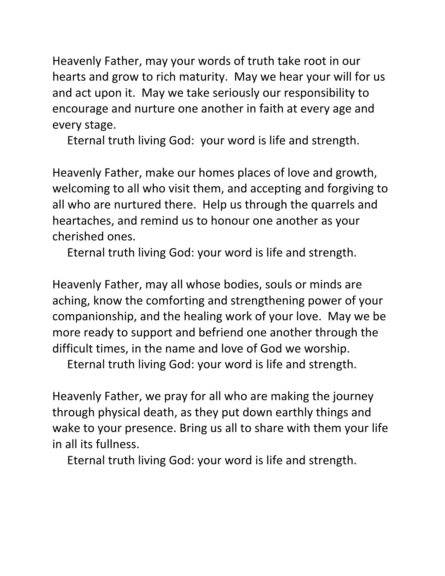Heavenly Father, may your words of truth take root in our hearts and grow to rich maturity. May we hear your will for us and act upon it. May we take seriously our responsibility to encourage and nurture one another in faith at every age and every stage.

Eternal truth living God: your word is life and strength.

Heavenly Father, make our homes places of love and growth, welcoming to all who visit them, and accepting and forgiving to all who are nurtured there. Help us through the quarrels and heartaches, and remind us to honour one another as your cherished ones.

Eternal truth living God: your word is life and strength.

Heavenly Father, may all whose bodies, souls or minds are aching, know the comforting and strengthening power of your companionship, and the healing work of your love. May we be more ready to support and befriend one another through the difficult times, in the name and love of God we worship.

Eternal truth living God: your word is life and strength.

Heavenly Father, we pray for all who are making the journey through physical death, as they put down earthly things and wake to your presence. Bring us all to share with them your life in all its fullness.

Eternal truth living God: your word is life and strength.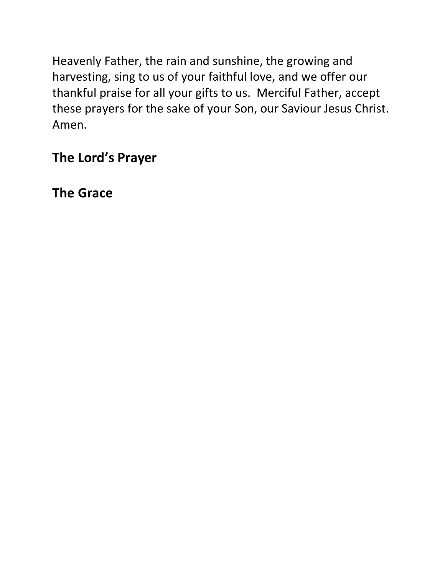Heavenly Father, the rain and sunshine, the growing and harvesting, sing to us of your faithful love, and we offer our thankful praise for all your gifts to us. Merciful Father, accept these prayers for the sake of your Son, our Saviour Jesus Christ. Amen.

# **The Lord's Prayer**

**The Grace**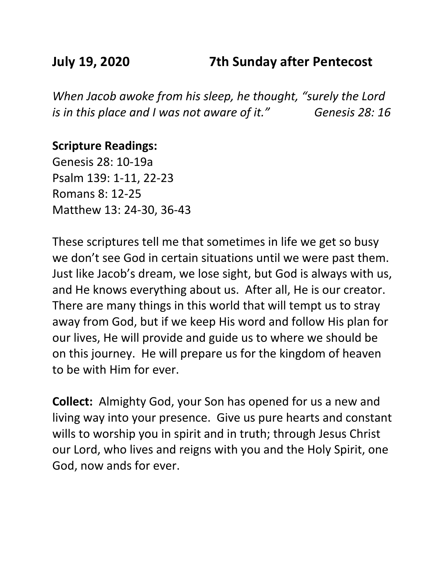## **July 19, 2020 7th Sunday after Pentecost**

*When Jacob awoke from his sleep, he thought, "surely the Lord is in this place and I was not aware of it." Genesis 28: 16*

#### **Scripture Readings:**

Genesis 28: 10-19a Psalm 139: 1-11, 22-23 Romans 8: 12-25 Matthew 13: 24-30, 36-43

These scriptures tell me that sometimes in life we get so busy we don't see God in certain situations until we were past them. Just like Jacob's dream, we lose sight, but God is always with us, and He knows everything about us. After all, He is our creator. There are many things in this world that will tempt us to stray away from God, but if we keep His word and follow His plan for our lives, He will provide and guide us to where we should be on this journey. He will prepare us for the kingdom of heaven to be with Him for ever.

**Collect:** Almighty God, your Son has opened for us a new and living way into your presence. Give us pure hearts and constant wills to worship you in spirit and in truth; through Jesus Christ our Lord, who lives and reigns with you and the Holy Spirit, one God, now ands for ever.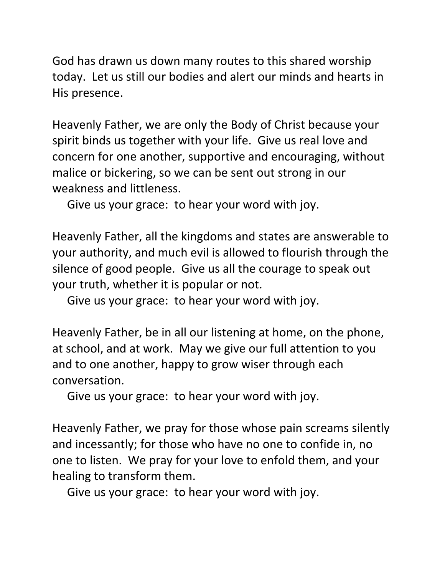God has drawn us down many routes to this shared worship today. Let us still our bodies and alert our minds and hearts in His presence.

Heavenly Father, we are only the Body of Christ because your spirit binds us together with your life. Give us real love and concern for one another, supportive and encouraging, without malice or bickering, so we can be sent out strong in our weakness and littleness.

Give us your grace: to hear your word with joy.

Heavenly Father, all the kingdoms and states are answerable to your authority, and much evil is allowed to flourish through the silence of good people. Give us all the courage to speak out your truth, whether it is popular or not.

Give us your grace: to hear your word with joy.

Heavenly Father, be in all our listening at home, on the phone, at school, and at work. May we give our full attention to you and to one another, happy to grow wiser through each conversation.

Give us your grace: to hear your word with joy.

Heavenly Father, we pray for those whose pain screams silently and incessantly; for those who have no one to confide in, no one to listen. We pray for your love to enfold them, and your healing to transform them.

Give us your grace: to hear your word with joy.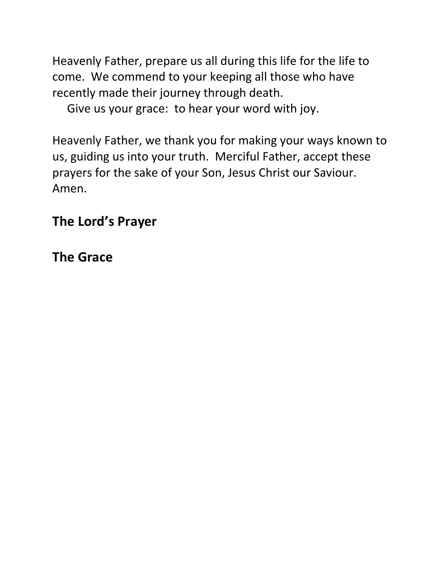Heavenly Father, prepare us all during this life for the life to come. We commend to your keeping all those who have recently made their journey through death.

Give us your grace: to hear your word with joy.

Heavenly Father, we thank you for making your ways known to us, guiding us into your truth. Merciful Father, accept these prayers for the sake of your Son, Jesus Christ our Saviour. Amen.

## **The Lord's Prayer**

## **The Grace**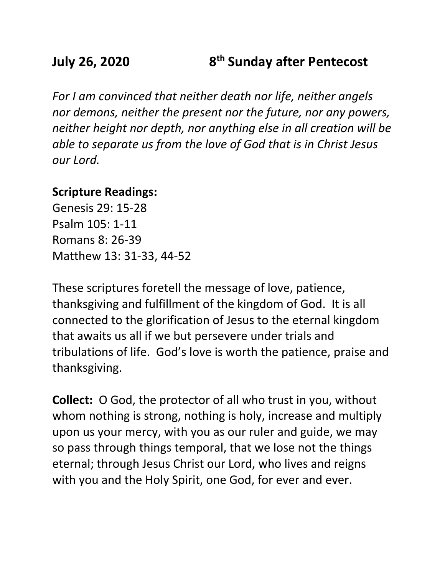## **July 26, 2020 8th Sunday after Pentecost**

*For I am convinced that neither death nor life, neither angels nor demons, neither the present nor the future, nor any powers, neither height nor depth, nor anything else in all creation will be able to separate us from the love of God that is in Christ Jesus our Lord.*

### **Scripture Readings:**

Genesis 29: 15-28 Psalm 105: 1-11 Romans 8: 26-39 Matthew 13: 31-33, 44-52

These scriptures foretell the message of love, patience, thanksgiving and fulfillment of the kingdom of God. It is all connected to the glorification of Jesus to the eternal kingdom that awaits us all if we but persevere under trials and tribulations of life. God's love is worth the patience, praise and thanksgiving.

**Collect:** O God, the protector of all who trust in you, without whom nothing is strong, nothing is holy, increase and multiply upon us your mercy, with you as our ruler and guide, we may so pass through things temporal, that we lose not the things eternal; through Jesus Christ our Lord, who lives and reigns with you and the Holy Spirit, one God, for ever and ever.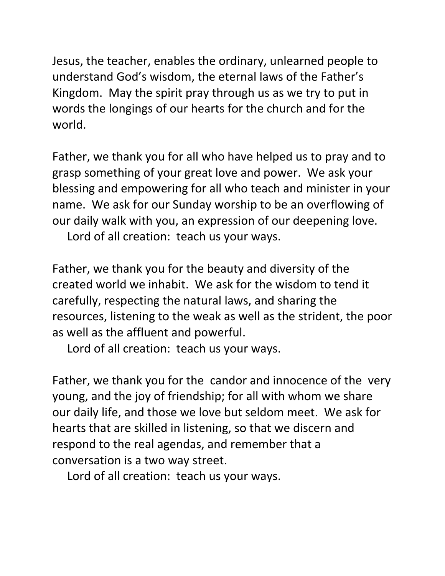Jesus, the teacher, enables the ordinary, unlearned people to understand God's wisdom, the eternal laws of the Father's Kingdom. May the spirit pray through us as we try to put in words the longings of our hearts for the church and for the world.

Father, we thank you for all who have helped us to pray and to grasp something of your great love and power. We ask your blessing and empowering for all who teach and minister in your name. We ask for our Sunday worship to be an overflowing of our daily walk with you, an expression of our deepening love.

Lord of all creation: teach us your ways.

Father, we thank you for the beauty and diversity of the created world we inhabit. We ask for the wisdom to tend it carefully, respecting the natural laws, and sharing the resources, listening to the weak as well as the strident, the poor as well as the affluent and powerful.

Lord of all creation: teach us your ways.

Father, we thank you for the candor and innocence of the very young, and the joy of friendship; for all with whom we share our daily life, and those we love but seldom meet. We ask for hearts that are skilled in listening, so that we discern and respond to the real agendas, and remember that a conversation is a two way street.

Lord of all creation: teach us your ways.